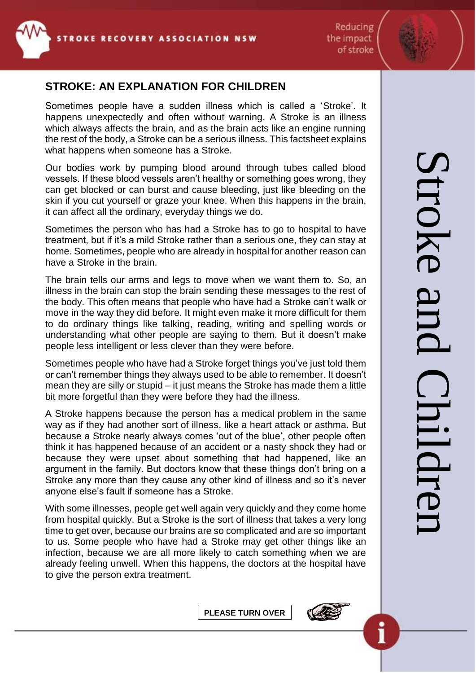

Reducing the impact of stroke

## **STROKE: AN EXPLANATION FOR CHILDREN**

Sometimes people have a sudden illness which is called a 'Stroke'. It happens unexpectedly and often without warning. A Stroke is an illness which always affects the brain, and as the brain acts like an engine running the rest of the body, a Stroke can be a serious illness. This factsheet explains what happens when someone has a Stroke.

Our bodies work by pumping blood around through tubes called blood vessels. If these blood vessels aren't healthy or something goes wrong, they can get blocked or can burst and cause bleeding, just like bleeding on the skin if you cut yourself or graze your knee. When this happens in the brain, it can affect all the ordinary, everyday things we do.

Sometimes the person who has had a Stroke has to go to hospital to have treatment, but if it's a mild Stroke rather than a serious one, they can stay at home. Sometimes, people who are already in hospital for another reason can have a Stroke in the brain.

The brain tells our arms and legs to move when we want them to. So, an illness in the brain can stop the brain sending these messages to the rest of the body. This often means that people who have had a Stroke can't walk or move in the way they did before. It might even make it more difficult for them to do ordinary things like talking, reading, writing and spelling words or understanding what other people are saying to them. But it doesn't make people less intelligent or less clever than they were before.

Sometimes people who have had a Stroke forget things you've just told them or can't remember things they always used to be able to remember. It doesn't mean they are silly or stupid – it just means the Stroke has made them a little bit more forgetful than they were before they had the illness.

A Stroke happens because the person has a medical problem in the same way as if they had another sort of illness, like a heart attack or asthma. But because a Stroke nearly always comes 'out of the blue', other people often think it has happened because of an accident or a nasty shock they had or because they were upset about something that had happened, like an argument in the family. But doctors know that these things don't bring on a Stroke any more than they cause any other kind of illness and so it's never anyone else's fault if someone has a Stroke.

With some illnesses, people get well again very quickly and they come home from hospital quickly. But a Stroke is the sort of illness that takes a very long time to get over, because our brains are so complicated and are so important to us. Some people who have had a Stroke may get other things like an infection, because we are all more likely to catch something when we are already feeling unwell. When this happens, the doctors at the hospital have to give the person extra treatment.

**PLEASE TURN OVER**